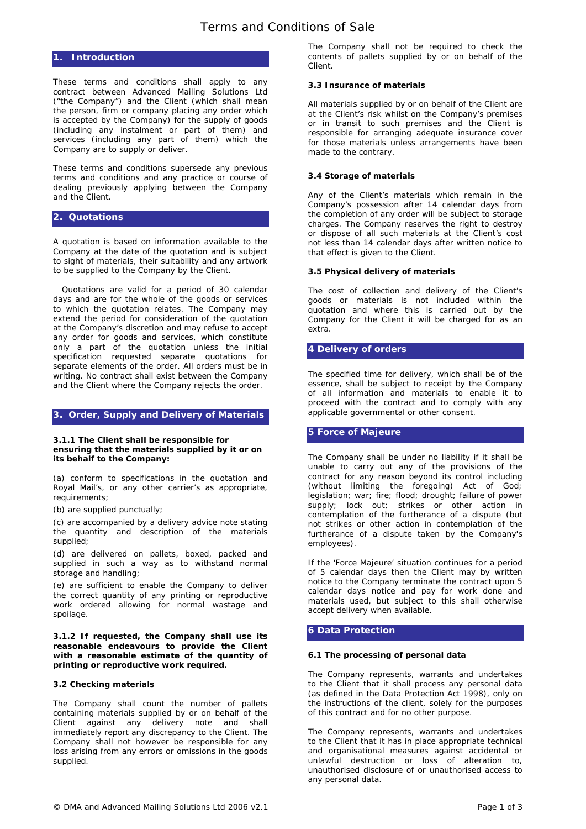# **1. Introduction**

These terms and conditions shall apply to any contract between Advanced Mailing Solutions Ltd ("the Company") and the Client (which shall mean the person, firm or company placing any order which is accepted by the Company) for the supply of goods (including any instalment or part of them) and services (including any part of them) which the Company are to supply or deliver.

These terms and conditions supersede any previous terms and conditions and any practice or course of dealing previously applying between the Company and the Client.

### **2. Quotations**

A quotation is based on information available to the Company at the date of the quotation and is subject to sight of materials, their suitability and any artwork to be supplied to the Company by the Client.

Quotations are valid for a period of 30 calendar days and are for the whole of the goods or services to which the quotation relates. The Company may extend the period for consideration of the quotation at the Company's discretion and may refuse to accept any order for goods and services, which constitute only a part of the quotation unless the initial specification requested separate quotations for separate elements of the order. All orders must be in writing. No contract shall exist between the Company and the Client where the Company rejects the order.

### **3. Order, Supply and Delivery of Materials**

### **3.1.1 The Client shall be responsible for ensuring that the materials supplied by it or on its behalf to the Company:**

(a) conform to specifications in the quotation and Royal Mail's, or any other carrier's as appropriate, requirements;

(b) are supplied punctually;

(c) are accompanied by a delivery advice note stating the quantity and description of the materials supplied;

(d) are delivered on pallets, boxed, packed and supplied in such a way as to withstand normal storage and handling;

(e) are sufficient to enable the Company to deliver the correct quantity of any printing or reproductive work ordered allowing for normal wastage and spoilage.

**3.1.2 If requested, the Company shall use its reasonable endeavours to provide the Client with a reasonable estimate of the quantity of printing or reproductive work required.** 

#### **3.2 Checking materials**

The Company shall count the number of pallets containing materials supplied by or on behalf of the Client against any delivery note and shall immediately report any discrepancy to the Client. The Company shall not however be responsible for any loss arising from any errors or omissions in the goods supplied.

The Company shall not be required to check the contents of pallets supplied by or on behalf of the Client.

# **3.3 Insurance of materials**

All materials supplied by or on behalf of the Client are at the Client's risk whilst on the Company's premises or in transit to such premises and the Client is responsible for arranging adequate insurance cover for those materials unless arrangements have been made to the contrary.

# **3.4 Storage of materials**

Any of the Client's materials which remain in the Company's possession after 14 calendar days from the completion of any order will be subject to storage charges. The Company reserves the right to destroy or dispose of all such materials at the Client's cost not less than 14 calendar days after written notice to that effect is given to the Client.

# **3.5 Physical delivery of materials**

The cost of collection and delivery of the Client's goods or materials is not included within the quotation and where this is carried out by the Company for the Client it will be charged for as an extra.

# **4 Delivery of orders**

The specified time for delivery, which shall be of the essence, shall be subject to receipt by the Company of all information and materials to enable it to proceed with the contract and to comply with any applicable governmental or other consent.

## **5 Force of Majeure**

The Company shall be under no liability if it shall be unable to carry out any of the provisions of the contract for any reason beyond its control including (without limiting the foregoing) Act of God; legislation; war; fire; flood; drought; failure of power supply; lock out; strikes or other action in contemplation of the furtherance of a dispute (but not strikes or other action in contemplation of the furtherance of a dispute taken by the Company's employees).

If the 'Force Majeure' situation continues for a period of 5 calendar days then the Client may by written notice to the Company terminate the contract upon 5 calendar days notice and pay for work done and materials used, but subject to this shall otherwise accept delivery when available.

# **6 Data Protection**

#### **6.1 The processing of personal data**

The Company represents, warrants and undertakes to the Client that it shall process any personal data (as defined in the Data Protection Act 1998), only on the instructions of the client, solely for the purposes of this contract and for no other purpose.

The Company represents, warrants and undertakes to the Client that it has in place appropriate technical and organisational measures against accidental or unlawful destruction or loss of alteration to, unauthorised disclosure of or unauthorised access to any personal data.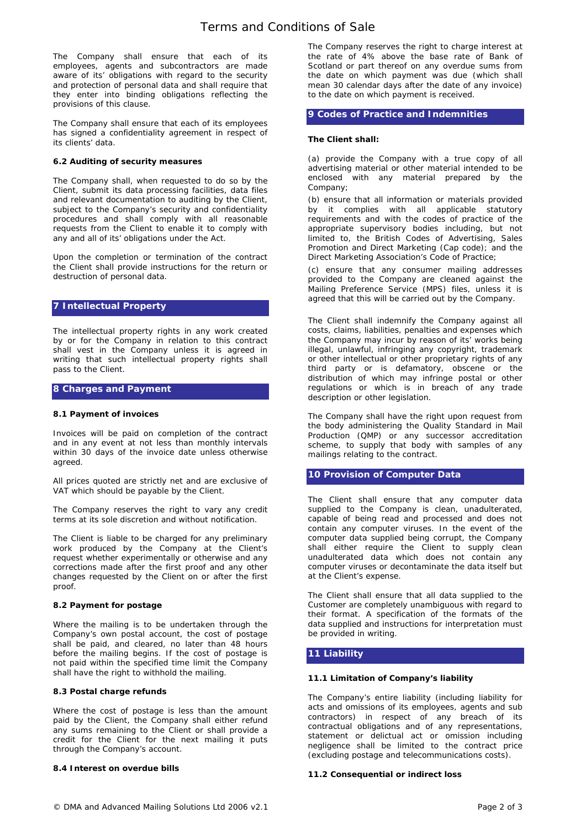The Company shall ensure that each of its employees, agents and subcontractors are made aware of its' obligations with regard to the security and protection of personal data and shall require that they enter into binding obligations reflecting the provisions of this clause.

The Company shall ensure that each of its employees has signed a confidentiality agreement in respect of its clients' data.

## **6.2 Auditing of security measures**

The Company shall, when requested to do so by the Client, submit its data processing facilities, data files and relevant documentation to auditing by the Client, subject to the Company's security and confidentiality procedures and shall comply with all reasonable requests from the Client to enable it to comply with any and all of its' obligations under the Act.

Upon the completion or termination of the contract the Client shall provide instructions for the return or destruction of personal data.

# **7 Intellectual Property**

The intellectual property rights in any work created by or for the Company in relation to this contract shall vest in the Company unless it is agreed in writing that such intellectual property rights shall pass to the Client.

### **8 Charges and Payment**

### **8.1 Payment of invoices**

Invoices will be paid on completion of the contract and in any event at not less than monthly intervals within 30 days of the invoice date unless otherwise agreed.

All prices quoted are strictly net and are exclusive of VAT which should be payable by the Client.

The Company reserves the right to vary any credit terms at its sole discretion and without notification.

The Client is liable to be charged for any preliminary work produced by the Company at the Client's request whether experimentally or otherwise and any corrections made after the first proof and any other changes requested by the Client on or after the first proof.

#### **8.2 Payment for postage**

Where the mailing is to be undertaken through the Company's own postal account, the cost of postage shall be paid, and cleared, no later than 48 hours before the mailing begins. If the cost of postage is not paid within the specified time limit the Company shall have the right to withhold the mailing.

#### **8.3 Postal charge refunds**

Where the cost of postage is less than the amount paid by the Client, the Company shall either refund any sums remaining to the Client or shall provide a credit for the Client for the next mailing it puts through the Company's account.

#### **8.4 Interest on overdue bills**

The Company reserves the right to charge interest at the rate of 4% above the base rate of Bank of Scotland or part thereof on any overdue sums from the date on which payment was due (which shall mean 30 calendar days after the date of any invoice) to the date on which payment is received.

# **9 Codes of Practice and Indemnities**

## **The Client shall:**

(a) provide the Company with a true copy of all advertising material or other material intended to be enclosed with any material prepared by the Company;

(b) ensure that all information or materials provided by it complies with all applicable statutory requirements and with the codes of practice of the appropriate supervisory bodies including, but not limited to, the British Codes of Advertising, Sales Promotion and Direct Marketing (Cap code); and the Direct Marketing Association's Code of Practice;

(c) ensure that any consumer mailing addresses provided to the Company are cleaned against the Mailing Preference Service (MPS) files, unless it is agreed that this will be carried out by the Company.

The Client shall indemnify the Company against all costs, claims, liabilities, penalties and expenses which the Company may incur by reason of its' works being illegal, unlawful, infringing any copyright, trademark or other intellectual or other proprietary rights of any third party or is defamatory, obscene or the distribution of which may infringe postal or other regulations or which is in breach of any trade description or other legislation.

The Company shall have the right upon request from the body administering the Quality Standard in Mail Production (QMP) or any successor accreditation scheme, to supply that body with samples of any mailings relating to the contract.

## **10 Provision of Computer Data**

The Client shall ensure that any computer data supplied to the Company is clean, unadulterated, capable of being read and processed and does not contain any computer viruses. In the event of the computer data supplied being corrupt, the Company shall either require the Client to supply clean unadulterated data which does not contain any computer viruses or decontaminate the data itself but at the Client's expense.

The Client shall ensure that all data supplied to the Customer are completely unambiguous with regard to their format. A specification of the formats of the data supplied and instructions for interpretation must be provided in writing.

# **11 Liability**

#### **11.1 Limitation of Company's liability**

The Company's entire liability (including liability for acts and omissions of its employees, agents and sub contractors) in respect of any breach of its contractual obligations and of any representations, statement or delictual act or omission including negligence shall be limited to the contract price (excluding postage and telecommunications costs).

#### **11.2 Consequential or indirect loss**